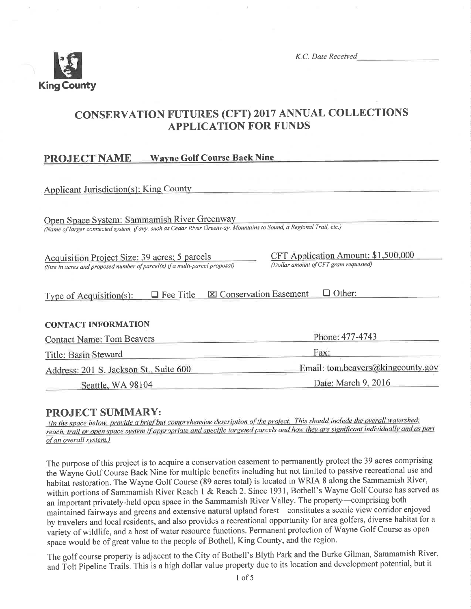

K.C. Date Received

## **CONSERVATION FUTURES (CFT) 2017 ANNUAL COLLECTIONS APPLICATION FOR FUNDS**

#### **Wayne Golf Course Back Nine PROJECT NAME**

| <b>Applicant Jurisdiction(s): King County</b>                                                                       |                                        |  |  |  |
|---------------------------------------------------------------------------------------------------------------------|----------------------------------------|--|--|--|
|                                                                                                                     |                                        |  |  |  |
| Open Space System: Sammamish River Greenway                                                                         |                                        |  |  |  |
| (Name of larger connected system, if any, such as Cedar River Greenway, Mountains to Sound, a Regional Trail, etc.) |                                        |  |  |  |
|                                                                                                                     |                                        |  |  |  |
| Acquisition Project Size: 39 acres; 5 parcels                                                                       | CFT Application Amount: \$1,500,000    |  |  |  |
| (Size in acres and proposed number of parcel(s) if a multi-parcel proposal)                                         | (Dollar amount of CFT grant requested) |  |  |  |
|                                                                                                                     |                                        |  |  |  |
| Other:<br><b>X</b> Conservation Easement<br>$\Box$ Fee Title<br>Type of Acquisition(s):                             |                                        |  |  |  |
|                                                                                                                     |                                        |  |  |  |
| <b>CONTACT INFORMATION</b>                                                                                          |                                        |  |  |  |
| <b>Contact Name: Tom Beavers</b>                                                                                    | Phone: 477-4743                        |  |  |  |
| Title: Basin Steward                                                                                                | Fax:                                   |  |  |  |
| Address: 201 S. Jackson St., Suite 600                                                                              | Email: tom.beavers@kingcounty.gov      |  |  |  |
| Seattle, WA 98104                                                                                                   | Date: March 9, 2016                    |  |  |  |

## **PROJECT SUMMARY:**

(In the space below, provide a brief but comprehensive description of the project. This should include the overall watershed, reach, trail or open space system if appropriate and specific targeted parcels and how they are significant individually and as part of an overall system.)

The purpose of this project is to acquire a conservation easement to permanently protect the 39 acres comprising the Wayne Golf Course Back Nine for multiple benefits including but not limited to passive recreational use and habitat restoration. The Wayne Golf Course (89 acres total) is located in WRIA 8 along the Sammamish River, within portions of Sammamish River Reach 1 & Reach 2. Since 1931, Bothell's Wayne Golf Course has served as an important privately-held open space in the Sammamish River Valley. The property-comprising both maintained fairways and greens and extensive natural upland forest-constitutes a scenic view corridor enjoyed by travelers and local residents, and also provides a recreational opportunity for area golfers, diverse habitat for a variety of wildlife, and a host of water resource functions. Permanent protection of Wayne Golf Course as open space would be of great value to the people of Bothell, King County, and the region.

The golf course property is adjacent to the City of Bothell's Blyth Park and the Burke Gilman, Sammamish River, and Tolt Pipeline Trails. This is a high dollar value property due to its location and development potential, but it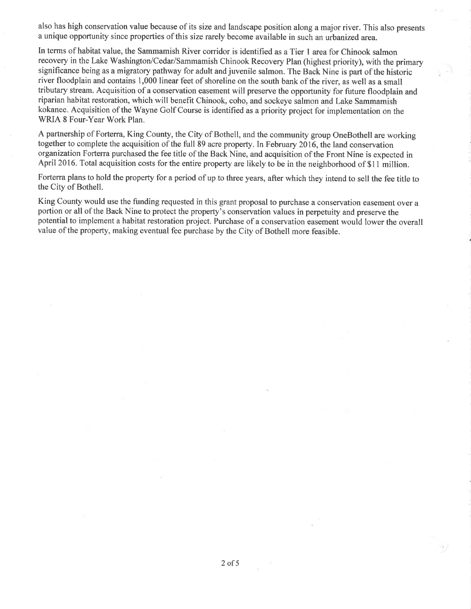also has high conservation value because of its size and landscape position along a major river. This also presents a unique opportunity since properties of this size rarely become available in such an urbanized area.

In terms of habitat value, the Sammamish River corridor is identified as a Tier I area for Chinook salmon recovery in the Lake Washington/Cedar/Sammamish Chinook Recovery Plan (highest priority), with the primary significance being as a migratory pathway for adult and juvenile salmon. The Back Nine is part of the historic river floodplain and contains 1,000 linear feet of shoreline on the south bank of the river, as well as a small tributary stream. Acquisition of a conservation easement will preserve the opportunity for future floodplain and riparian habitat restoration, which will benefit Chinook, coho, and sockeye salmon and Lake Sammamish kokanee. Acquisition of the Wayne Golf Course is identified as a priority project for implementation on the WRIA 8 Four-Year Work Plan.

A partnership of Forterra, King County, the City of Bothell, and the community group OneBothell are working together to complete the acquisition of the full 89 acre property. In February 2016, the land conservation organization Forterra purchased the fee title of the Back Nine, and acquisition of the Front Nine is expected in April 2016. Total acquisition costs for the entire property are likely to be in the neighborhood of \$11 million.

Forterra plans to hold the property for a period of up to three years, after which they intend to sell the fee title to the City of Bothell.

King County would use the funding requested in this grant proposal to purchase a conservation easement over a portion or all of the Back Nine to protect the property's conservation values in perpetuity and preserve the potential to implement a habitat restoration project. Purchase of a conservation easement would lower the overall value of the property, making eventual fee purchase by the City of Bothell more feasible.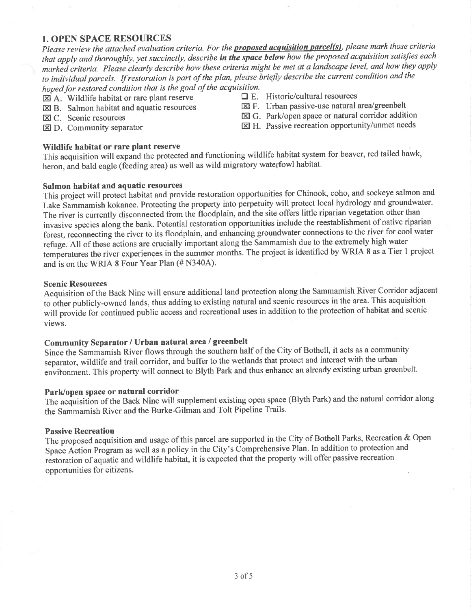## **1. OPEN SPACE RESOURCES**

Please review the attached evaluation criteria. For the **proposed acquisition parcel(s)**, please mark those criteria that apply and thoroughly, yet succinctly, describe in the space below how the proposed acquisition satisfies each marked criteria. Please clearly describe how these criteria might be met at a landscape level, and how they apply to individual parcels. If restoration is part of the plan, please briefly describe the current condition and the hoped for restored condition that is the goal of the acquisition.

- $\boxtimes$  A. Wildlife habitat or rare plant reserve
- $\boxtimes$  B. Salmon habitat and aquatic resources
- X C. Scenic resources
- $\boxtimes$  D. Community separator

#### Wildlife habitat or rare plant reserve

 $\Box$  E. Historic/cultural resources

- $\boxtimes$  F. Urban passive-use natural area/greenbelt
- ⊠ G. Park/open space or natural corridor addition
- $\boxtimes$  H. Passive recreation opportunity/unmet needs

This acquisition will expand the protected and functioning wildlife habitat system for beaver, red tailed hawk, heron, and bald eagle (feeding area) as well as wild migratory waterfowl habitat.

#### Salmon habitat and aquatic resources

This project will protect habitat and provide restoration opportunities for Chinook, coho, and sockeye salmon and Lake Sammamish kokanee. Protecting the property into perpetuity will protect local hydrology and groundwater. The river is currently disconnected from the floodplain, and the site offers little riparian vegetation other than invasive species along the bank. Potential restoration opportunities include the reestablishment of native riparian forest, reconnecting the river to its floodplain, and enhancing groundwater connections to the river for cool water refuge. All of these actions are crucially important along the Sammamish due to the extremely high water temperatures the river experiences in the summer months. The project is identified by WRIA 8 as a Tier 1 project and is on the WRIA 8 Four Year Plan (# N340A).

#### **Scenic Resources**

Acquisition of the Back Nine will ensure additional land protection along the Sammamish River Corridor adjacent to other publicly-owned lands, thus adding to existing natural and scenic resources in the area. This acquisition will provide for continued public access and recreational uses in addition to the protection of habitat and scenic views.

## Community Separator / Urban natural area / greenbelt

Since the Sammamish River flows through the southern half of the City of Bothell, it acts as a community separator, wildlife and trail corridor, and buffer to the wetlands that protect and interact with the urban environment. This property will connect to Blyth Park and thus enhance an already existing urban greenbelt.

## Park/open space or natural corridor

The acquisition of the Back Nine will supplement existing open space (Blyth Park) and the natural corridor along the Sammamish River and the Burke-Gilman and Tolt Pipeline Trails.

## **Passive Recreation**

The proposed acquisition and usage of this parcel are supported in the City of Bothell Parks, Recreation & Open Space Action Program as well as a policy in the City's Comprehensive Plan. In addition to protection and restoration of aquatic and wildlife habitat, it is expected that the property will offer passive recreation opportunities for citizens.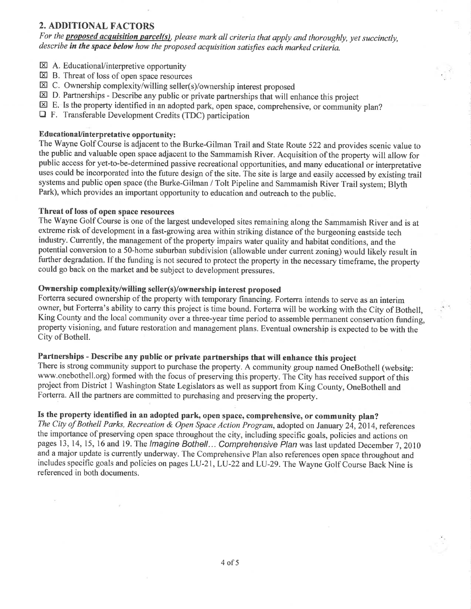## 2. ADDITIONAL FACTORS

For the **proposed acquisition parcel(s)**, please mark all criteria that apply and thoroughly, yet succinctly, describe in the space below how the proposed acquisition satisfies each marked criteria.

- $\boxtimes$  A. Educational/interpretive opportunity
- $\boxtimes$  B. Threat of loss of open space resources
- EC. Ownership complexity/willing seller(s)/ownership interest proposed
- ED, Partnerships Describe any public or private partnerships that will enhance this project
- $\boxtimes$  E. Is the property identified in an adopted park, open space, comprehensive, or community plan?
- DF. Transferable Development Credits (TDC) participation

#### EducationaUinterpretative opportunity:

The Wayne Golf Course is adjacent to the Burke-Gilman Trail and State Route 522 and provides scenic value to the public and valuable open space adjacent to the Sammamish River. Acquisition of the property will allow for public access for yet-to-be-determined passive recreational opportunities, and many educational or interpretative uses could be incorporated into the future design of the site. The site is large and easily accessed by existing trail systems and public open space (the Burke-Gilman / Tolt Pipeline and Sammamish River Trail system; Blyth Park), which provides an important opportunity to education and outreach to the public.

#### Threat of loss of open space resources

The Wayne Golf Course is one of the largest undeveloped sites remaining along the Sammamish River and is at extreme risk of development in a fast-growing area within striking distance of the burgeoning eastside tech industry. Currently, the management of the property impairs water quality and habitat conditions, and the potential conversion to a 5O-home suburban subdivision (allowable under current zoning) would likely result in further degradation. If the funding is not secured to protect the property in the necessary timeframe, the property could go back on the market and be subject to development pressures.

## Ownership complexity/willing seller(s)/ownership interest proposed

Forterra secured ownership of the property with temporary financing. Forterra intends to serve as an interim owner, but Forterra's ability to carry this project is time bound. Forterra will be working with the City of Bothell, King County and the local community over a three-year time period to assemble permanent conservation funding, property visioning, and future restoration and management plans. Eventual ownership is expected to be with the City of Bothell.

## Partnerships - Describe any public or private partnerships that will enhance this project

There is strong community support to purchase the property. A community group named OneBothell (website: www.onebothell.org) formed with the focus of preserving this property. The City has received support of this project from District 1 Washington State Legislators as well as support from King County, OneBothell and Forterra. All the partners are committed to purchasing and preserving the property.

## Is the property identified in an adopted park, open space, comprehensive, or community plan?

The City of Bothell Parks, Recreation & Open Space Action Program, adopted on January 24, 2014, references the importance of preserving open space throughout the city, including specific goals, policies and actions on pages 13, 14, 15, 16 and 19. The Imagine Bothell... Comprehensive Plan was last updated December 7, 2010 and a major update is currently underway. The Comprehensive Plan also references open space throughout and includes specific goals and policies on pages LU-21, LU-22 and LU-29. The Wayne Golf Course Back Nine is referenced in both documents.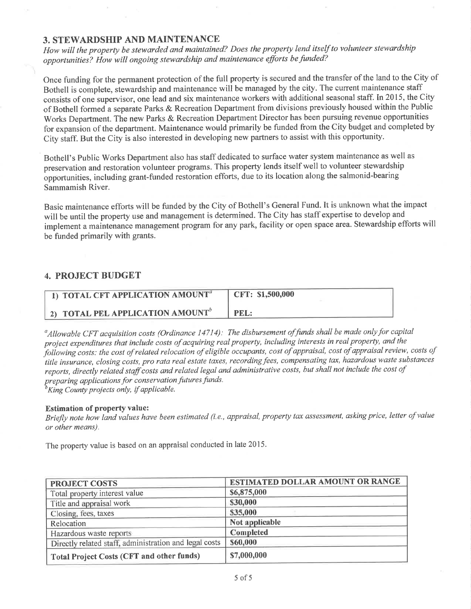## 3. STEWARDSHIP AND MAINTENANCE

How will the property be stewarded and maintained? Does the property lend itself to volunteer stewardship opportunities? How will ongoing stewardship and maintenance efforts be funded?

Once funding for the permanent protection of the full property is secured and the transfer of the land to the City of Bothell is complete, stewardship and maintenance will be managed by the city. The current maintenance staff consists of one supervisor, one lead and six maintenance workers with additional seasonal staff. In 2015, the City of Bothell formed a separate Parks & Recreation Department from divisions previously housed within the Public Works Department. The new Parks & Recreation Department Director has been pursuing revenue opportunities for expansìon of the department. Maintenance would primarily be funded from the City budget and completed by City staff. But the City is also interested in developing new partners to assist with this opportunity.

Bothell's Public Works Department also has staff dedicated to surface water system maintenance as well as preservation and restoration volunteer programs. This property lends itself well to volunteer stewardship opportunities, including grant-funded restoration efforts, due to its location along the salmonid-bearing Sammamish River.

Basic maintenance efforts will be funded by the City of Bothell's General Fund. It is unknown what the impact will be until the property use and management is determined. The City has staff expertise to develop and implement a maintenance management program for any park, facility or open space area. Stewardship efforts will be funded primarily with grants.

## 4. PROJECT BUDGET

| 1) TOTAL CFT APPLICATION AMOUNT <sup>a</sup> | CFT: \$1,500,000 |
|----------------------------------------------|------------------|
| 2) TOTAL PEL APPLICATION AMOUNT <sup>b</sup> | PEL:             |

 $^a$ Allowable CFT acquisition costs (Ordinance 14714): The disbursement of funds shall be made only for capital project expenditures that include costs of acquiring real property, including interests in real property, and the project expenditures that there costs of dequiring rediploperty, meaning the cost of appraisal review, costs of<br>following costs: the cost of related relocation of eligible occupants, cost of appraisal, cost of appraisal re following costs, the cost of related relocation of englore occupating cost of eppensating tax, hazardous waste substances reports, directly related staff costs and related legal and administrative costs, but shall not include the cost of preparing applications for conservation futures funds.

King County projects only, if applicable.

#### Estimation of property value:

Briefly note how land values have been estimated (i.e., appraisal, property tax assessment, asking price, letter of value or other means).

The property value is based on an appraisal conducted in late 2015.

| <b>PROJECT COSTS</b>                                   | <b>ESTIMATED DOLLAR AMOUNT OR RANGE</b> |  |
|--------------------------------------------------------|-----------------------------------------|--|
| Total property interest value                          | \$6,875,000                             |  |
| Title and appraisal work                               | \$30,000                                |  |
| Closing, fees, taxes                                   | \$35,000                                |  |
| Relocation                                             | Not applicable                          |  |
| Hazardous waste reports                                | Completed                               |  |
| Directly related staff, administration and legal costs | \$60,000                                |  |
| <b>Total Project Costs (CFT and other funds)</b>       | \$7,000,000                             |  |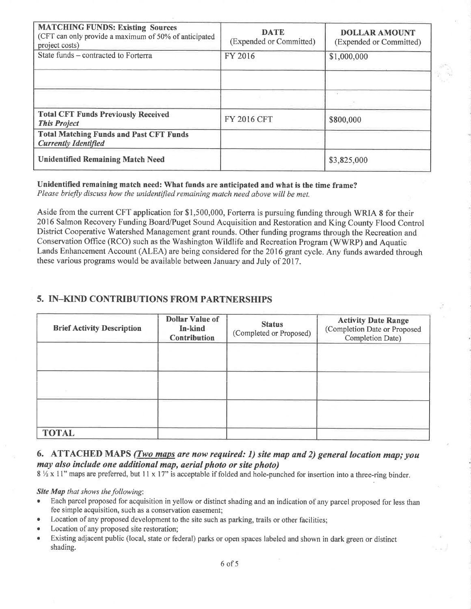| <b>MATCHING FUNDS: Existing Sources</b><br>(CFT can only provide a maximum of 50% of anticipated<br>project costs) | <b>DATE</b><br>(Expended or Committed) | <b>DOLLAR AMOUNT</b><br>(Expended or Committed) |
|--------------------------------------------------------------------------------------------------------------------|----------------------------------------|-------------------------------------------------|
| State funds – contracted to Forterra                                                                               | FY 2016                                | \$1,000,000                                     |
|                                                                                                                    |                                        |                                                 |
|                                                                                                                    |                                        |                                                 |
| <b>Total CFT Funds Previously Received</b><br><b>This Project</b>                                                  | <b>FY 2016 CFT</b>                     | \$800,000                                       |
| <b>Total Matching Funds and Past CFT Funds</b><br><b>Currently Identified</b>                                      |                                        |                                                 |
| <b>Unidentified Remaining Match Need</b>                                                                           |                                        | \$3,825,000                                     |

Unidentified remaining match need: What funds are anticipated and what is the time frame? Please briefly discuss how the unidentified remaining match need above will be met.

Aside from the current CFT application for \$1,500,000, Forterra is pursuing funding through WRIA 8 for their 2016 Salmon Recovery Funding Board/Puget Sound Acquisition and Restoration and King County Flood Control District Cooperative Watershed Management grant rounds. Other funding programs through the Recreation and Conservation Office (RCO) such as the Washington Wildlife and Recreation Program (WWRP) and Aquatic Lands Enhancement Account (ALEA) are being considered for the 2016 grant cycle. Any funds awarded through these various programs would be available between January and July of 2017 .

## 5. IN\_KIND CONTRIBUTIONS FROM PARTNERSHIPS

| <b>Brief Activity Description</b> | <b>Dollar Value of</b><br>In-kind<br><b>Contribution</b> | <b>Status</b><br>(Completed or Proposed) | <b>Activity Date Range</b><br>(Completion Date or Proposed<br>Completion Date) |
|-----------------------------------|----------------------------------------------------------|------------------------------------------|--------------------------------------------------------------------------------|
|                                   |                                                          |                                          |                                                                                |
|                                   |                                                          |                                          |                                                                                |
|                                   |                                                          |                                          |                                                                                |
| <b>TOTAL</b>                      |                                                          |                                          |                                                                                |

## 6. ATTACHED MAPS  $(Two$  maps are now required: 1) site map and 2) general location map; you may also include one additional map, aerial photo or site photo)

 $8\frac{1}{2}$  x 11" maps are preferred, but 11 x 17" is acceptable if folded and hole-punched for insertion into a three-ring binder.

Site Map that shows the following:

- Each parcel proposed for acquisition in yellow or distinct shading and an indication of any parcel proposed for less than fee simple acquisition, such as a conservation easement;
- Location of any proposed development to the site such as parking, trails or other facilities;
- Location of any proposed site restoration;
- Existing adjacent public (local, state or federal) parks or open spaces labeled and shown in dark green or distinct shading.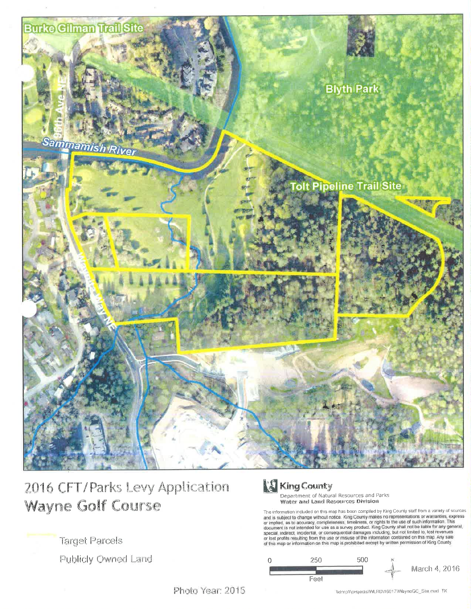

# 2016 CFT/Parks Levy Application Wayne Golf Course

**Target Parcels** 

Publicly Owned Land

# King County

Department of Natural Resources and Parks Water and Land Resources Division

The information included on this map has been compiled by King County staff from a variety of sources<br>and is subject to change without notice. King County makes no representations or warranties, express<br>or implied, as to a



Photo Year: 2015

Wdnrp1\projects\WLRD\16017\WayneGC\_Site mxd\_TK